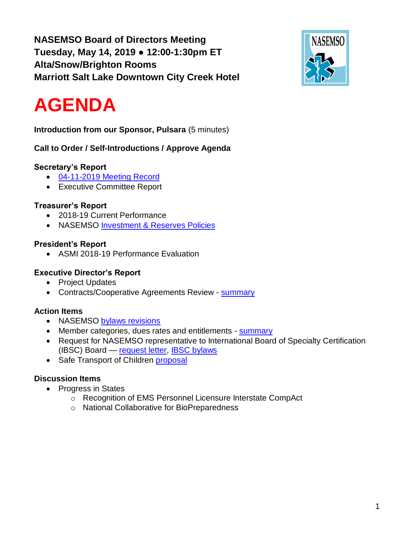**NASEMSO Board of Directors Meeting Tuesday, May 14, 2019 ● 12:00-1:30pm ET Alta/Snow/Brighton Rooms Marriott Salt Lake Downtown City Creek Hotel**



# **AGENDA**

**Introduction from our Sponsor, Pulsara** (5 minutes)

**Call to Order / Self-Introductions / Approve Agenda**

# **Secretary's Report**

- 04-11-2019 [Meeting Record](https://drive.google.com/open?id=1xqOUyq42MLNNEeZnnToxF9lOySFgL1A8)
- Executive Committee Report

# **Treasurer's Report**

- 2018-19 Current Performance
- NASEMSO [Investment & Reserves Policies](https://drive.google.com/open?id=1_rV4nQuU_AKqMscJdZ75UzKfTsLZF9o8)

# **President's Report**

• ASMI 2018-19 Performance Evaluation

# **Executive Director's Report**

- Project Updates
- Contracts/Cooperative Agreements Review [summary](https://drive.google.com/open?id=1RSAX8tN89iqkfjFmaFfRKdqAZ5quEN7L)

# **Action Items**

- NASEMSO [bylaws revisions](https://drive.google.com/open?id=104jLZpM98LhAn-nRFmJe4kyHG038FIoR)
- Member categories, dues rates and entitlements [summary](https://drive.google.com/open?id=1sk9RMExJSl_SEw01qX18Rj2sdMMC2vw7)
- Request for NASEMSO representative to International Board of Specialty Certification (IBSC) Board — [request letter,](https://drive.google.com/open?id=1yJJaYBMk9ff-yqO726V0P-3C44WbMxBZ) [IBSC bylaws](https://drive.google.com/open?id=1L5xqlAu1lm1nziXP8kxsM976o7Kb_KOJ)
- Safe Transport of Children [proposal](https://drive.google.com/open?id=1dtGo8XNt2tmieNe9DjZtPD1760iLe1GO)

# **Discussion Items**

- Progress in States
	- o Recognition of EMS Personnel Licensure Interstate CompAct
	- o National Collaborative for BioPreparedness